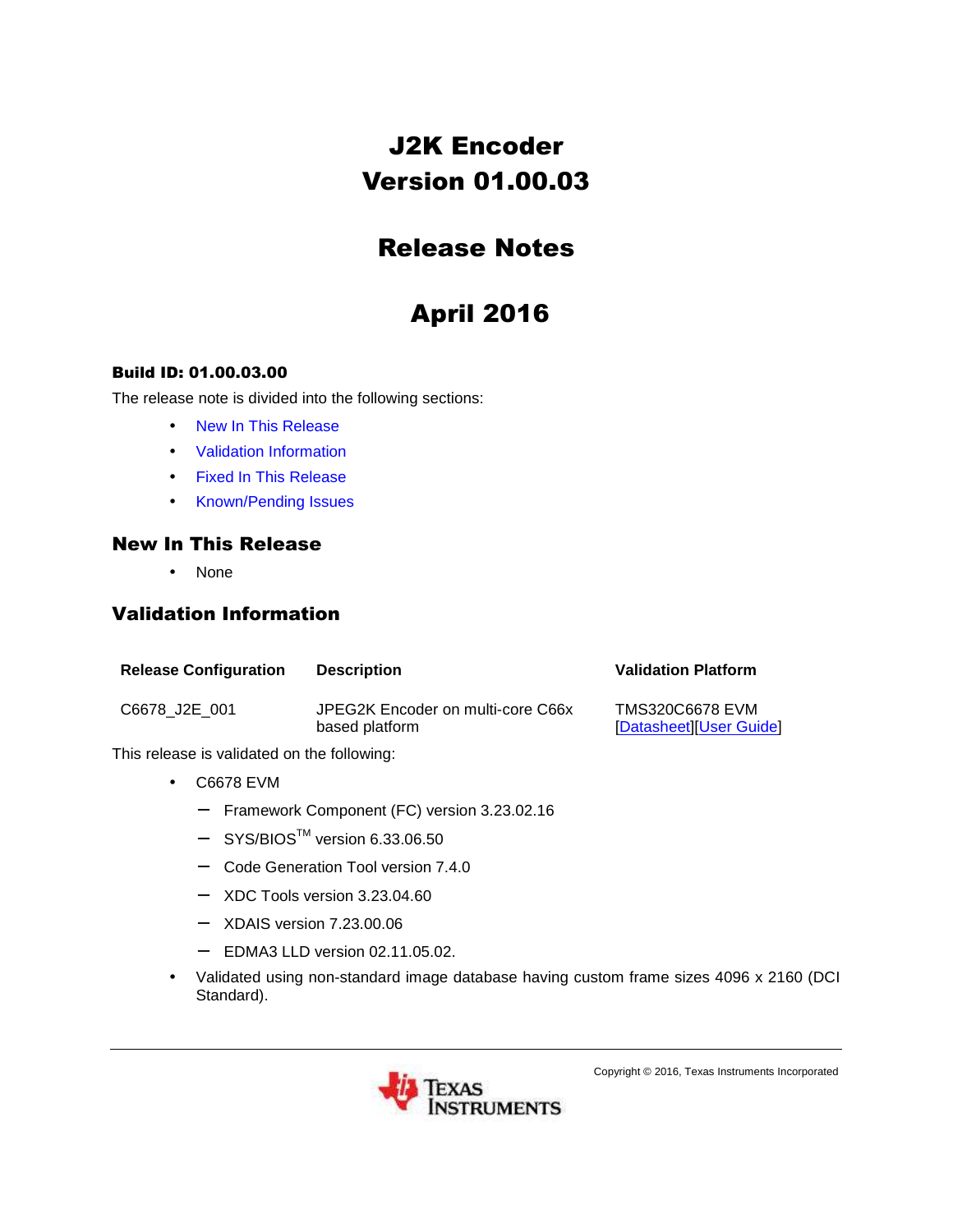## J2K Encoder Version 01.00.03

## Release Notes

# April 2016

#### Build ID: 01.00.03.00

The release note is divided into the following sections:

- New In This Release
- Validation Information
- Fixed In This Release
- Known/Pending Issues

#### New In This Release

• None

#### Validation Information

| <b>Release Configuration</b> | <b>Description</b>                                  | <b>Validation Platform</b>                        |
|------------------------------|-----------------------------------------------------|---------------------------------------------------|
| C6678 J2E 001                | JPEG2K Encoder on multi-core C66x<br>based platform | <b>TMS320C6678 EVM</b><br>[Datasheet][User Guide] |

This release is validated on the following:

- C6678 EVM
	- − Framework Component (FC) version 3.23.02.16
	- − SYS/BIOSTM version 6.33.06.50
	- − Code Generation Tool version 7.4.0
	- − XDC Tools version 3.23.04.60
	- − XDAIS version 7.23.00.06
	- − EDMA3 LLD version 02.11.05.02.
- Validated using non-standard image database having custom frame sizes 4096 x 2160 (DCI Standard).



Copyright © 2016, Texas Instruments Incorporated